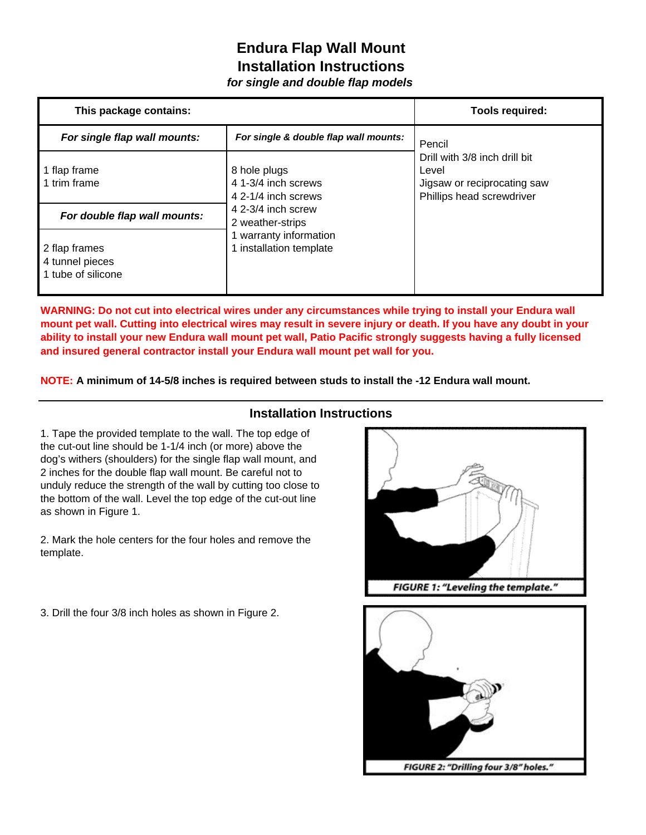## **Endura Flap Wall Mount Installation Instructions**

*for single and double flap models*

| This package contains:       |                                       | <b>Tools required:</b>        |
|------------------------------|---------------------------------------|-------------------------------|
| For single flap wall mounts: | For single & double flap wall mounts: | Pencil                        |
|                              |                                       | Drill with 3/8 inch drill bit |
| 1 flap frame                 | 8 hole plugs                          | Level                         |
| 1 trim frame                 | 4 1-3/4 inch screws                   | Jigsaw or reciprocating saw   |
|                              | 4 2-1/4 inch screws                   | Phillips head screwdriver     |
| For double flap wall mounts: | 4 2-3/4 inch screw                    |                               |
|                              | 2 weather-strips                      |                               |
|                              | 1 warranty information                |                               |
| 2 flap frames                | 1 installation template               |                               |
| 4 tunnel pieces              |                                       |                               |
| 1 tube of silicone           |                                       |                               |
|                              |                                       |                               |

**WARNING: Do not cut into electrical wires under any circumstances while trying to install your Endura wall mount pet wall. Cutting into electrical wires may result in severe injury or death. If you have any doubt in your ability to install your new Endura wall mount pet wall, Patio Pacific strongly suggests having a fully licensed and insured general contractor install your Endura wall mount pet wall for you.** 

**NOTE: A minimum of 14-5/8 inches is required between studs to install the -12 Endura wall mount.**

## **Installation Instructions**

1. Tape the provided template to the wall. The top edge of the cut-out line should be 1-1/4 inch (or more) above the dog's withers (shoulders) for the single flap wall mount, and 2 inches for the double flap wall mount. Be careful not to unduly reduce the strength of the wall by cutting too close to the bottom of the wall. Level the top edge of the cut-out line as shown in Figure 1.

2. Mark the hole centers for the four holes and remove the template.

3. Drill the four 3/8 inch holes as shown in Figure 2.



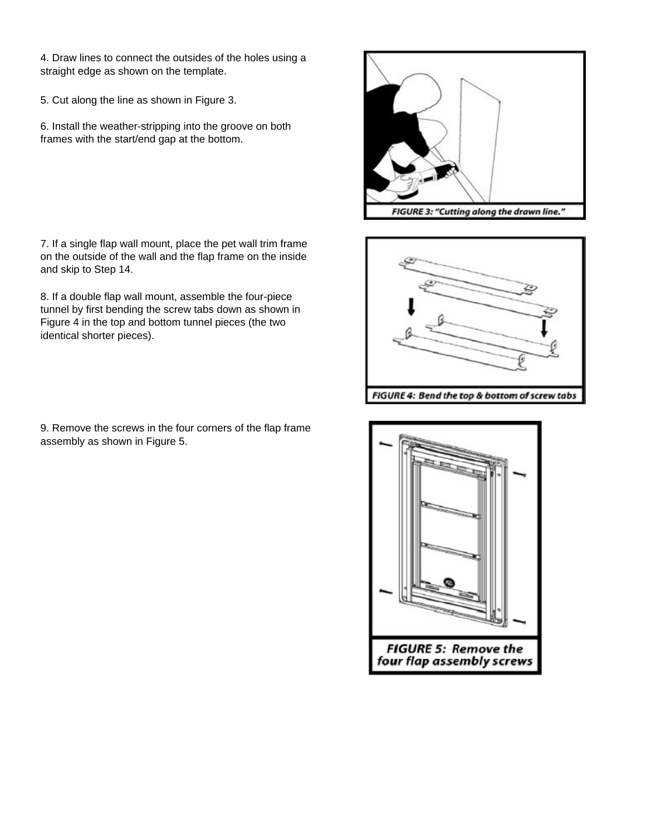4. Draw lines to connect the outsides of the holes using a straight edge as shown on the template.

5. Cut along the line as shown in Figure 3.

6. Install the weather-stripping into the groove on both frames with the start/end gap at the bottom.

7. If a single flap wall mount, place the pet wall trim frame on the outside of the wall and the flap frame on the inside and skip to Step 14.

8. If a double flap wall mount, assemble the four-piece tunnel by first bending the screw tabs down as shown in Figure 4 in the top and bottom tunnel pieces (the two identical shorter pieces).

9. Remove the screws in the four corners of the flap frame assembly as shown in Figure 5.